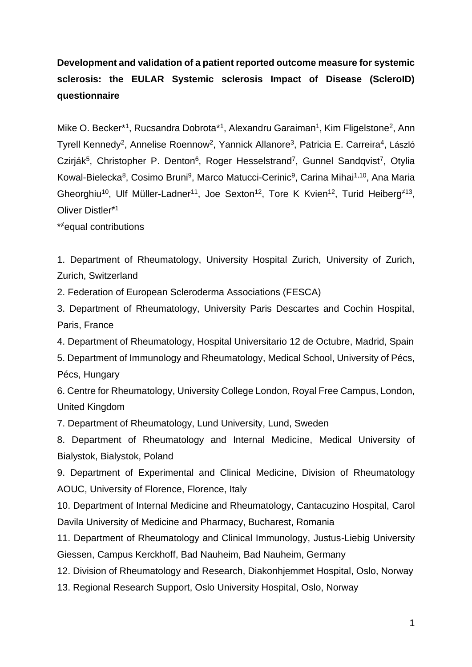**Development and validation of a patient reported outcome measure for systemic sclerosis: the EULAR Systemic sclerosis Impact of Disease (ScleroID) questionnaire**

Mike O. Becker<sup>\*1</sup>, Rucsandra Dobrota<sup>\*1</sup>, Alexandru Garaiman<sup>1</sup>, Kim Fligelstone<sup>2</sup>, Ann Tyrell Kennedy<sup>2</sup>, Annelise Roennow<sup>2</sup>, Yannick Allanore<sup>3</sup>, Patricia E. Carreira<sup>4</sup>, László Czirják<sup>5</sup>, Christopher P. Denton<sup>6</sup>, Roger Hesselstrand<sup>7</sup>, Gunnel Sandqvist<sup>7</sup>, Otylia Kowal-Bielecka<sup>8</sup>, Cosimo Bruni<sup>9</sup>, Marco Matucci-Cerinic<sup>9</sup>, Carina Mihai<sup>1,10</sup>, Ana Maria Gheorghiu<sup>10</sup>, Ulf Müller-Ladner<sup>11</sup>, Joe Sexton<sup>12</sup>, Tore K Kvien<sup>12</sup>, Turid Heiberg<sup>≠13</sup>, Oliver Distler≠1

\* <sup>≠</sup>equal contributions

1. Department of Rheumatology, University Hospital Zurich, University of Zurich, Zurich, Switzerland

2. Federation of European Scleroderma Associations (FESCA)

3. Department of Rheumatology, University Paris Descartes and Cochin Hospital, Paris, France

4. Department of Rheumatology, Hospital Universitario 12 de Octubre, Madrid, Spain

5. Department of Immunology and Rheumatology, Medical School, University of Pécs, Pécs, Hungary

6. Centre for Rheumatology, University College London, Royal Free Campus, London, United Kingdom

7. Department of Rheumatology, Lund University, Lund, Sweden

8. Department of Rheumatology and Internal Medicine, Medical University of Bialystok, Bialystok, Poland

9. Department of Experimental and Clinical Medicine, Division of Rheumatology AOUC, University of Florence, Florence, Italy

10. Department of Internal Medicine and Rheumatology, Cantacuzino Hospital, Carol Davila University of Medicine and Pharmacy, Bucharest, Romania

11. Department of Rheumatology and Clinical Immunology, Justus-Liebig University Giessen, Campus Kerckhoff, Bad Nauheim, Bad Nauheim, Germany

12. Division of Rheumatology and Research, Diakonhjemmet Hospital, Oslo, Norway

13. Regional Research Support, Oslo University Hospital, Oslo, Norway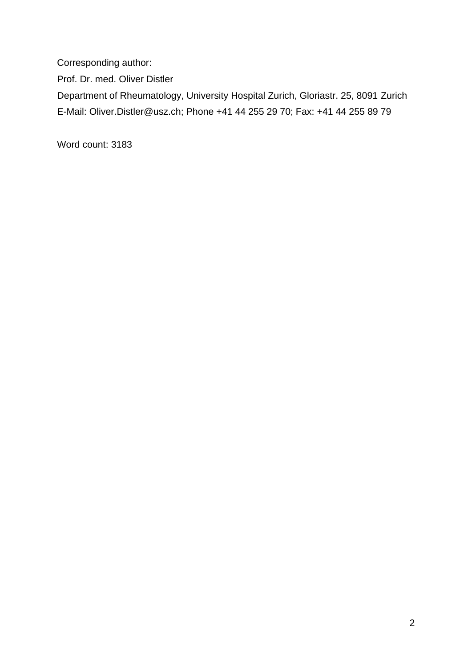Corresponding author:

Prof. Dr. med. Oliver Distler

Department of Rheumatology, University Hospital Zurich, Gloriastr. 25, 8091 Zurich E-Mail: Oliver.Distler@usz.ch; Phone +41 44 255 29 70; Fax: +41 44 255 89 79

Word count: 3183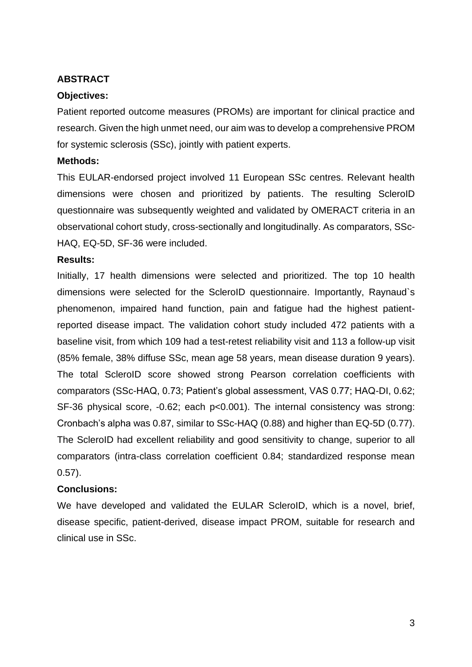### **ABSTRACT**

### **Objectives:**

Patient reported outcome measures (PROMs) are important for clinical practice and research. Given the high unmet need, our aim was to develop a comprehensive PROM for systemic sclerosis (SSc), jointly with patient experts.

#### **Methods:**

This EULAR-endorsed project involved 11 European SSc centres. Relevant health dimensions were chosen and prioritized by patients. The resulting ScleroID questionnaire was subsequently weighted and validated by OMERACT criteria in an observational cohort study, cross-sectionally and longitudinally. As comparators, SSc-HAQ, EQ-5D, SF-36 were included.

#### **Results:**

Initially, 17 health dimensions were selected and prioritized. The top 10 health dimensions were selected for the ScleroID questionnaire. Importantly, Raynaud`s phenomenon, impaired hand function, pain and fatigue had the highest patientreported disease impact. The validation cohort study included 472 patients with a baseline visit, from which 109 had a test-retest reliability visit and 113 a follow-up visit (85% female, 38% diffuse SSc, mean age 58 years, mean disease duration 9 years). The total ScleroID score showed strong Pearson correlation coefficients with comparators (SSc-HAQ, 0.73; Patient's global assessment, VAS 0.77; HAQ-DI, 0.62; SF-36 physical score, -0.62; each p<0.001). The internal consistency was strong: Cronbach's alpha was 0.87, similar to SSc-HAQ (0.88) and higher than EQ-5D (0.77). The ScleroID had excellent reliability and good sensitivity to change, superior to all comparators (intra-class correlation coefficient 0.84; standardized response mean 0.57).

### **Conclusions:**

We have developed and validated the EULAR ScleroID, which is a novel, brief, disease specific, patient-derived, disease impact PROM, suitable for research and clinical use in SSc.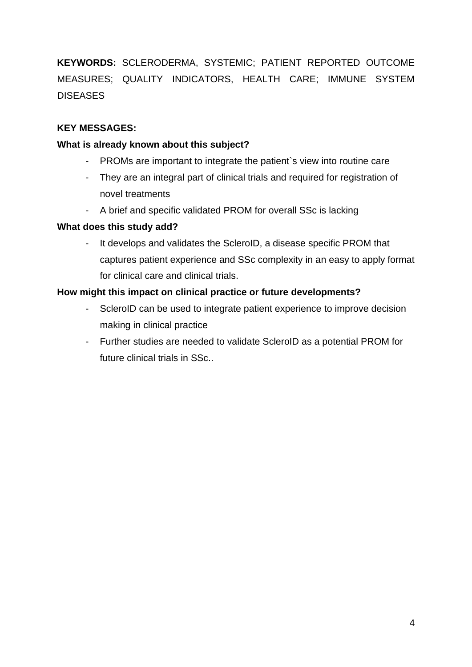**KEYWORDS:** SCLERODERMA, SYSTEMIC; PATIENT REPORTED OUTCOME MEASURES; QUALITY INDICATORS, HEALTH CARE; IMMUNE SYSTEM DISEASES

### **KEY MESSAGES:**

#### **What is already known about this subject?**

- PROMs are important to integrate the patient's view into routine care
- They are an integral part of clinical trials and required for registration of novel treatments
- A brief and specific validated PROM for overall SSc is lacking

#### **What does this study add?**

- It develops and validates the ScleroID, a disease specific PROM that captures patient experience and SSc complexity in an easy to apply format for clinical care and clinical trials.

#### **How might this impact on clinical practice or future developments?**

- ScleroID can be used to integrate patient experience to improve decision making in clinical practice
- Further studies are needed to validate ScleroID as a potential PROM for future clinical trials in SSc..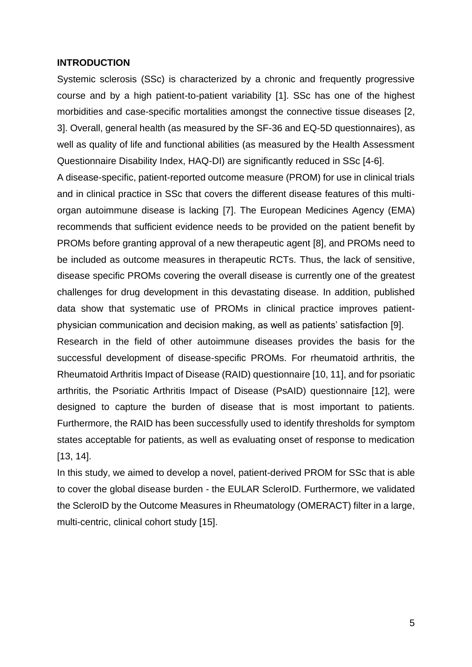#### **INTRODUCTION**

Systemic sclerosis (SSc) is characterized by a chronic and frequently progressive course and by a high patient-to-patient variability [1]. SSc has one of the highest morbidities and case-specific mortalities amongst the connective tissue diseases [2, 3]. Overall, general health (as measured by the SF-36 and EQ-5D questionnaires), as well as quality of life and functional abilities (as measured by the Health Assessment Questionnaire Disability Index, HAQ-DI) are significantly reduced in SSc [4-6].

A disease-specific, patient-reported outcome measure (PROM) for use in clinical trials and in clinical practice in SSc that covers the different disease features of this multiorgan autoimmune disease is lacking [7]. The European Medicines Agency (EMA) recommends that sufficient evidence needs to be provided on the patient benefit by PROMs before granting approval of a new therapeutic agent [8], and PROMs need to be included as outcome measures in therapeutic RCTs. Thus, the lack of sensitive, disease specific PROMs covering the overall disease is currently one of the greatest challenges for drug development in this devastating disease. In addition, published data show that systematic use of PROMs in clinical practice improves patientphysician communication and decision making, as well as patients' satisfaction [9].

Research in the field of other autoimmune diseases provides the basis for the successful development of disease-specific PROMs. For rheumatoid arthritis, the Rheumatoid Arthritis Impact of Disease (RAID) questionnaire [10, 11], and for psoriatic arthritis, the Psoriatic Arthritis Impact of Disease (PsAID) questionnaire [12], were designed to capture the burden of disease that is most important to patients. Furthermore, the RAID has been successfully used to identify thresholds for symptom states acceptable for patients, as well as evaluating onset of response to medication [13, 14].

In this study, we aimed to develop a novel, patient-derived PROM for SSc that is able to cover the global disease burden - the EULAR ScleroID. Furthermore, we validated the ScleroID by the Outcome Measures in Rheumatology (OMERACT) filter in a large, multi-centric, clinical cohort study [15].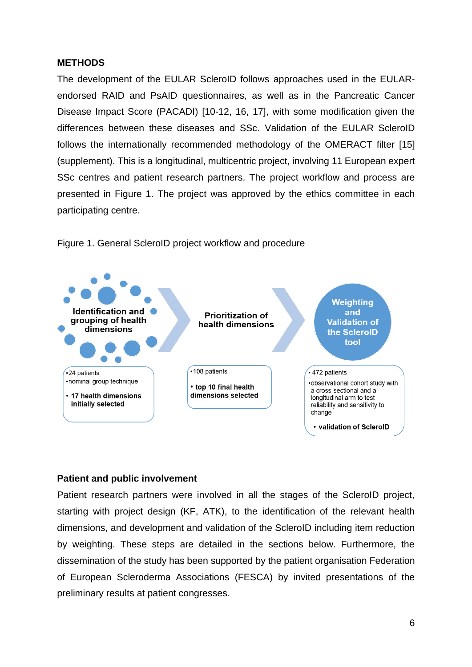#### **METHODS**

The development of the EULAR ScleroID follows approaches used in the EULARendorsed RAID and PsAID questionnaires, as well as in the Pancreatic Cancer Disease Impact Score (PACADI) [10-12, 16, 17], with some modification given the differences between these diseases and SSc. Validation of the EULAR ScleroID follows the internationally recommended methodology of the OMERACT filter [15] (supplement). This is a longitudinal, multicentric project, involving 11 European expert SSc centres and patient research partners. The project workflow and process are presented in Figure 1. The project was approved by the ethics committee in each participating centre.



Figure 1. General ScleroID project workflow and procedure

#### **Patient and public involvement**

Patient research partners were involved in all the stages of the ScleroID project, starting with project design (KF, ATK), to the identification of the relevant health dimensions, and development and validation of the ScleroID including item reduction by weighting. These steps are detailed in the sections below. Furthermore, the dissemination of the study has been supported by the patient organisation Federation of European Scleroderma Associations (FESCA) by invited presentations of the preliminary results at patient congresses.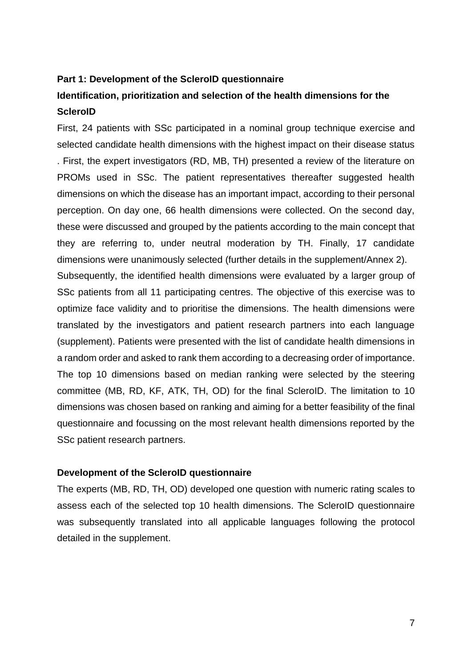#### **Part 1: Development of the ScleroID questionnaire**

# **Identification, prioritization and selection of the health dimensions for the ScleroID**

First, 24 patients with SSc participated in a nominal group technique exercise and selected candidate health dimensions with the highest impact on their disease status . First, the expert investigators (RD, MB, TH) presented a review of the literature on PROMs used in SSc. The patient representatives thereafter suggested health dimensions on which the disease has an important impact, according to their personal perception. On day one, 66 health dimensions were collected. On the second day, these were discussed and grouped by the patients according to the main concept that they are referring to, under neutral moderation by TH. Finally, 17 candidate dimensions were unanimously selected (further details in the supplement/Annex 2). Subsequently, the identified health dimensions were evaluated by a larger group of SSc patients from all 11 participating centres. The objective of this exercise was to optimize face validity and to prioritise the dimensions. The health dimensions were translated by the investigators and patient research partners into each language (supplement). Patients were presented with the list of candidate health dimensions in a random order and asked to rank them according to a decreasing order of importance. The top 10 dimensions based on median ranking were selected by the steering committee (MB, RD, KF, ATK, TH, OD) for the final ScleroID. The limitation to 10 dimensions was chosen based on ranking and aiming for a better feasibility of the final questionnaire and focussing on the most relevant health dimensions reported by the SSc patient research partners.

#### **Development of the ScleroID questionnaire**

The experts (MB, RD, TH, OD) developed one question with numeric rating scales to assess each of the selected top 10 health dimensions. The ScleroID questionnaire was subsequently translated into all applicable languages following the protocol detailed in the supplement.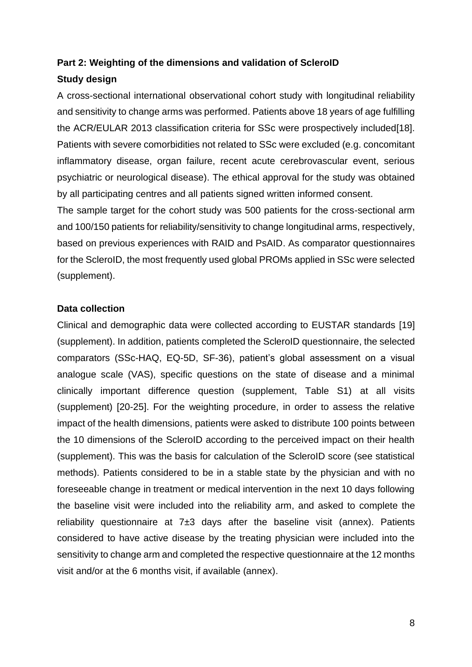## **Part 2: Weighting of the dimensions and validation of ScleroID**

#### **Study design**

A cross-sectional international observational cohort study with longitudinal reliability and sensitivity to change arms was performed. Patients above 18 years of age fulfilling the ACR/EULAR 2013 classification criteria for SSc were prospectively included[18]. Patients with severe comorbidities not related to SSc were excluded (e.g. concomitant inflammatory disease, organ failure, recent acute cerebrovascular event, serious psychiatric or neurological disease). The ethical approval for the study was obtained by all participating centres and all patients signed written informed consent.

The sample target for the cohort study was 500 patients for the cross-sectional arm and 100/150 patients for reliability/sensitivity to change longitudinal arms, respectively, based on previous experiences with RAID and PsAID. As comparator questionnaires for the ScleroID, the most frequently used global PROMs applied in SSc were selected (supplement).

#### **Data collection**

Clinical and demographic data were collected according to EUSTAR standards [19] (supplement). In addition, patients completed the ScleroID questionnaire, the selected comparators (SSc-HAQ, EQ-5D, SF-36), patient's global assessment on a visual analogue scale (VAS), specific questions on the state of disease and a minimal clinically important difference question (supplement, Table S1) at all visits (supplement) [20-25]. For the weighting procedure, in order to assess the relative impact of the health dimensions, patients were asked to distribute 100 points between the 10 dimensions of the ScleroID according to the perceived impact on their health (supplement). This was the basis for calculation of the ScleroID score (see statistical methods). Patients considered to be in a stable state by the physician and with no foreseeable change in treatment or medical intervention in the next 10 days following the baseline visit were included into the reliability arm, and asked to complete the reliability questionnaire at  $7±3$  days after the baseline visit (annex). Patients considered to have active disease by the treating physician were included into the sensitivity to change arm and completed the respective questionnaire at the 12 months visit and/or at the 6 months visit, if available (annex).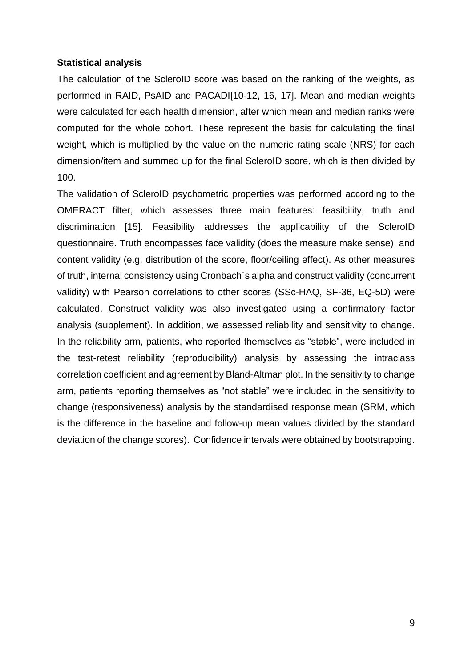#### **Statistical analysis**

The calculation of the ScleroID score was based on the ranking of the weights, as performed in RAID, PsAID and PACADI[10-12, 16, 17]. Mean and median weights were calculated for each health dimension, after which mean and median ranks were computed for the whole cohort. These represent the basis for calculating the final weight, which is multiplied by the value on the numeric rating scale (NRS) for each dimension/item and summed up for the final ScleroID score, which is then divided by 100.

The validation of ScleroID psychometric properties was performed according to the OMERACT filter, which assesses three main features: feasibility, truth and discrimination [15]. Feasibility addresses the applicability of the ScleroID questionnaire. Truth encompasses face validity (does the measure make sense), and content validity (e.g. distribution of the score, floor/ceiling effect). As other measures of truth, internal consistency using Cronbach`s alpha and construct validity (concurrent validity) with Pearson correlations to other scores (SSc-HAQ, SF-36, EQ-5D) were calculated. Construct validity was also investigated using a confirmatory factor analysis (supplement). In addition, we assessed reliability and sensitivity to change. In the reliability arm, patients, who reported themselves as "stable", were included in the test-retest reliability (reproducibility) analysis by assessing the intraclass correlation coefficient and agreement by Bland-Altman plot. In the sensitivity to change arm, patients reporting themselves as "not stable" were included in the sensitivity to change (responsiveness) analysis by the standardised response mean (SRM, which is the difference in the baseline and follow-up mean values divided by the standard deviation of the change scores). Confidence intervals were obtained by bootstrapping.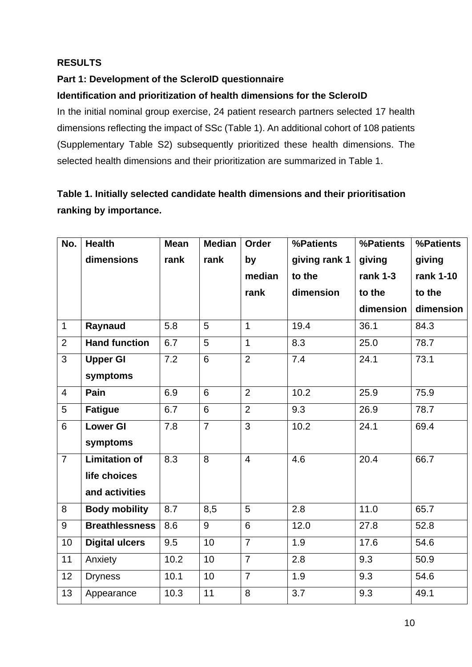## **RESULTS**

## **Part 1: Development of the ScleroID questionnaire**

## **Identification and prioritization of health dimensions for the ScleroID**

In the initial nominal group exercise, 24 patient research partners selected 17 health dimensions reflecting the impact of SSc (Table 1). An additional cohort of 108 patients (Supplementary Table S2) subsequently prioritized these health dimensions. The selected health dimensions and their prioritization are summarized in Table 1.

# **Table 1. Initially selected candidate health dimensions and their prioritisation ranking by importance.**

| No.            | <b>Health</b>         | <b>Mean</b> | <b>Median</b>   | Order          | %Patients     | %Patients  | %Patients |
|----------------|-----------------------|-------------|-----------------|----------------|---------------|------------|-----------|
|                | dimensions            | rank        | rank            | by             | giving rank 1 | giving     | giving    |
|                |                       |             |                 | median         | to the        | rank $1-3$ | rank 1-10 |
|                |                       |             |                 | rank           | dimension     | to the     | to the    |
|                |                       |             |                 |                |               | dimension  | dimension |
| 1              | Raynaud               | 5.8         | 5               | $\mathbf{1}$   | 19.4          | 36.1       | 84.3      |
| $\overline{2}$ | <b>Hand function</b>  | 6.7         | 5               | $\mathbf{1}$   | 8.3           | 25.0       | 78.7      |
| $\overline{3}$ | <b>Upper GI</b>       | 7.2         | 6               | $\overline{2}$ | 7.4           | 24.1       | 73.1      |
|                | symptoms              |             |                 |                |               |            |           |
| $\overline{4}$ | Pain                  | 6.9         | 6               | $\overline{2}$ | 10.2          | 25.9       | 75.9      |
| 5              | <b>Fatigue</b>        | 6.7         | 6               | $\overline{2}$ | 9.3           | 26.9       | 78.7      |
| 6              | <b>Lower GI</b>       | 7.8         | $\overline{7}$  | 3              | 10.2          | 24.1       | 69.4      |
|                | symptoms              |             |                 |                |               |            |           |
| $\overline{7}$ | <b>Limitation of</b>  | 8.3         | 8               | $\overline{4}$ | 4.6           | 20.4       | 66.7      |
|                | life choices          |             |                 |                |               |            |           |
|                | and activities        |             |                 |                |               |            |           |
| 8              | <b>Body mobility</b>  | 8.7         | 8,5             | 5              | 2.8           | 11.0       | 65.7      |
| 9              | <b>Breathlessness</b> | 8.6         | 9               | 6              | 12.0          | 27.8       | 52.8      |
| 10             | <b>Digital ulcers</b> | 9.5         | $\overline{10}$ | $\overline{7}$ | 1.9           | 17.6       | 54.6      |
| 11             | Anxiety               | 10.2        | 10              | $\overline{7}$ | 2.8           | 9.3        | 50.9      |
| 12             | <b>Dryness</b>        | 10.1        | $\overline{10}$ | $\overline{7}$ | 1.9           | 9.3        | 54.6      |
| 13             | Appearance            | 10.3        | 11              | 8              | 3.7           | 9.3        | 49.1      |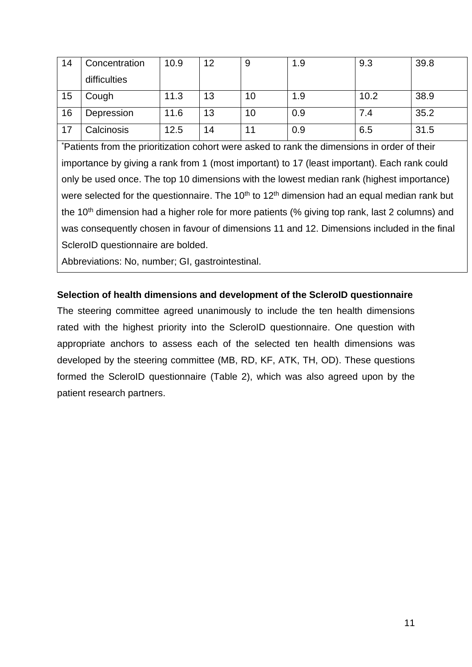| 14 | Concentration | 10.9 | 12 | 9  | 1.9 | 9.3  | 39.8 |
|----|---------------|------|----|----|-----|------|------|
|    | difficulties  |      |    |    |     |      |      |
| 15 | Cough         | 11.3 | 13 | 10 | 1.9 | 10.2 | 38.9 |
| 16 | Depression    | 11.6 | 13 | 10 | 0.9 | 7.4  | 35.2 |
| 17 | Calcinosis    | 12.5 | 14 |    | 0.9 | 6.5  | 31.5 |

\*Patients from the prioritization cohort were asked to rank the dimensions in order of their importance by giving a rank from 1 (most important) to 17 (least important). Each rank could only be used once. The top 10 dimensions with the lowest median rank (highest importance) were selected for the questionnaire. The  $10<sup>th</sup>$  to  $12<sup>th</sup>$  dimension had an equal median rank but the  $10<sup>th</sup>$  dimension had a higher role for more patients (% giving top rank, last 2 columns) and was consequently chosen in favour of dimensions 11 and 12. Dimensions included in the final ScleroID questionnaire are bolded.

Abbreviations: No, number; GI, gastrointestinal.

## **Selection of health dimensions and development of the ScleroID questionnaire**

The steering committee agreed unanimously to include the ten health dimensions rated with the highest priority into the ScleroID questionnaire. One question with appropriate anchors to assess each of the selected ten health dimensions was developed by the steering committee (MB, RD, KF, ATK, TH, OD). These questions formed the ScleroID questionnaire (Table 2), which was also agreed upon by the patient research partners.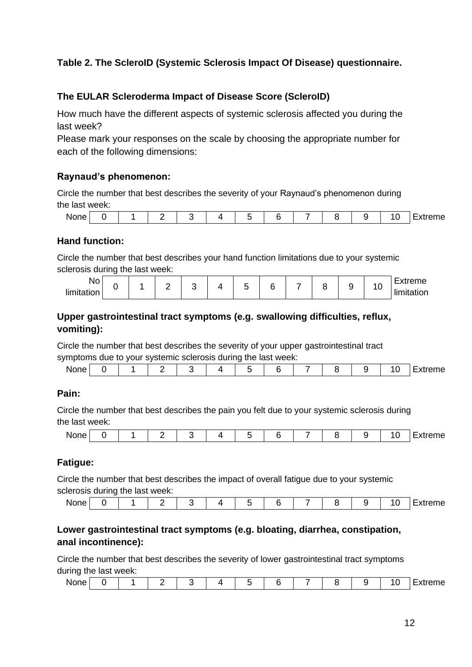## **Table 2. The ScleroID (Systemic Sclerosis Impact Of Disease) questionnaire.**

### **The EULAR Scleroderma Impact of Disease Score (ScleroID)**

How much have the different aspects of systemic sclerosis affected you during the last week?

Please mark your responses on the scale by choosing the appropriate number for each of the following dimensions:

#### **Raynaud's phenomenon:**

Circle the number that best describes the severity of your Raynaud's phenomenon during the last week:

| None : |  | -<br>$\overline{\phantom{0}}$ |  |  | - | <br>u | $\overline{\phantom{a}}$<br>v | eme· |
|--------|--|-------------------------------|--|--|---|-------|-------------------------------|------|
|        |  |                               |  |  |   |       |                               |      |

#### **Hand function:**

Circle the number that best describes your hand function limitations due to your systemic sclerosis during the last week:

| . .<br>NΟ<br>limit<br>.<br>___ |  |  |  |  |  |  | n<br> |  |  |  | . .<br>◡ | $\overline{\phantom{0}}$<br>$1.44$ is a late as<br>eme<br>⊷ |
|--------------------------------|--|--|--|--|--|--|-------|--|--|--|----------|-------------------------------------------------------------|
|--------------------------------|--|--|--|--|--|--|-------|--|--|--|----------|-------------------------------------------------------------|

### **Upper gastrointestinal tract symptoms (e.g. swallowing difficulties, reflux, vomiting):**

Circle the number that best describes the severity of your upper gastrointestinal tract

symptoms due to your systemic sclerosis during the last week:

| $1$ is the compact of $1 \circ \cdots \circ 1$ and $2 \circ \cdots \circ 2 \circ \cdots \circ 2 \circ \cdots$ . The second constant $\cdots$ |  |  |  |  |  |  |
|----------------------------------------------------------------------------------------------------------------------------------------------|--|--|--|--|--|--|
| <b>None</b>                                                                                                                                  |  |  |  |  |  |  |
|                                                                                                                                              |  |  |  |  |  |  |

### **Pain:**

Circle the number that best describes the pain you felt due to your systemic sclerosis during the last week:

|  | <b>None</b> |  |  | . .<br>$\overline{\phantom{0}}$ |  | 4 |  |  |  |  |  | י<br><b>v</b><br>__ | _<br>eme |
|--|-------------|--|--|---------------------------------|--|---|--|--|--|--|--|---------------------|----------|
|--|-------------|--|--|---------------------------------|--|---|--|--|--|--|--|---------------------|----------|

### **Fatigue:**

Circle the number that best describes the impact of overall fatigue due to your systemic sclerosis during the last week:

| <b>None</b> |  |  |  | - |  | $\left($ | _<br>:xtreme |
|-------------|--|--|--|---|--|----------|--------------|

## **Lower gastrointestinal tract symptoms (e.g. bloating, diarrhea, constipation, anal incontinence):**

Circle the number that best describes the severity of lower gastrointestinal tract symptoms during the last week:

| None . |  | . . |  |  | $\overline{\phantom{a}}$ |  | ັ | eme<br>-315 |
|--------|--|-----|--|--|--------------------------|--|---|-------------|
|        |  |     |  |  |                          |  |   |             |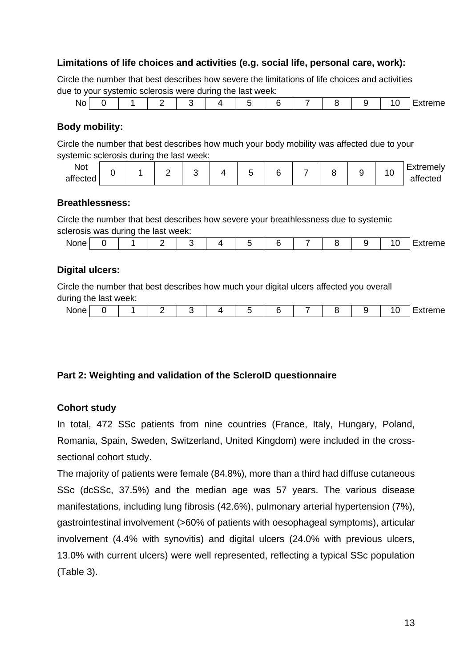#### **Limitations of life choices and activities (e.g. social life, personal care, work):**

Circle the number that best describes how severe the limitations of life choices and activities due to your systemic sclerosis were during the last week:

|                          |  |  | __ |                          |  |  |     |                   |
|--------------------------|--|--|----|--------------------------|--|--|-----|-------------------|
| . .<br>w<br>$\sim$<br>__ |  |  |    | $\overline{\phantom{a}}$ |  |  | ___ | $\sim$<br>⋯<br>יי |
|                          |  |  |    |                          |  |  |     |                   |

#### **Body mobility:**

Circle the number that best describes how much your body mobility was affected due to your systemic sclerosis during the last week:

| Not<br>affected |  |  |  |  |  |  |  |  |  |  | -<br>~ | $\overline{\phantom{0}}$<br>-----<br>.<br>Teiv<br><br>affected |
|-----------------|--|--|--|--|--|--|--|--|--|--|--------|----------------------------------------------------------------|
|-----------------|--|--|--|--|--|--|--|--|--|--|--------|----------------------------------------------------------------|

#### **Breathlessness:**

Circle the number that best describes how severe your breathlessness due to systemic sclerosis was during the last week:

| $\overline{\phantom{a}}$<br>-<br><b>NODA</b><br>.<br>. .<br>__ | __ | ___<br>___ | ----- | ____ |  |  |  |                 |
|----------------------------------------------------------------|----|------------|-------|------|--|--|--|-----------------|
|                                                                |    |            |       |      |  |  |  | $-$<br>בזו<br>. |

#### **Digital ulcers:**

Circle the number that best describes how much your digital ulcers affected you overall during the last week:

|  | None.<br>. . <b>.</b> |  |  | . . |  |  |  |  |  |  |  |  | -<br>eme |
|--|-----------------------|--|--|-----|--|--|--|--|--|--|--|--|----------|
|--|-----------------------|--|--|-----|--|--|--|--|--|--|--|--|----------|

#### **Part 2: Weighting and validation of the ScleroID questionnaire**

#### **Cohort study**

In total, 472 SSc patients from nine countries (France, Italy, Hungary, Poland, Romania, Spain, Sweden, Switzerland, United Kingdom) were included in the crosssectional cohort study.

The majority of patients were female (84.8%), more than a third had diffuse cutaneous SSc (dcSSc, 37.5%) and the median age was 57 years. The various disease manifestations, including lung fibrosis (42.6%), pulmonary arterial hypertension (7%), gastrointestinal involvement (>60% of patients with oesophageal symptoms), articular involvement (4.4% with synovitis) and digital ulcers (24.0% with previous ulcers, 13.0% with current ulcers) were well represented, reflecting a typical SSc population (Table 3).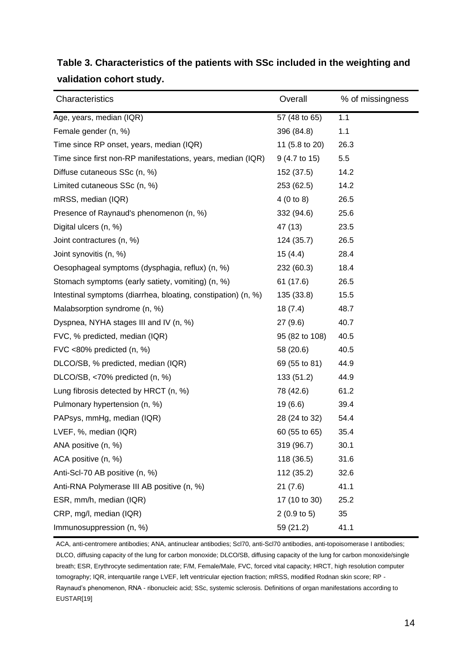| Characteristics                                               | Overall                 | % of missingness |
|---------------------------------------------------------------|-------------------------|------------------|
| Age, years, median (IQR)                                      | 57 (48 to 65)           | 1.1              |
| Female gender (n, %)                                          | 396 (84.8)              | 1.1              |
| Time since RP onset, years, median (IQR)                      | 11 (5.8 to 20)          | 26.3             |
| Time since first non-RP manifestations, years, median (IQR)   | $9(4.7 \text{ to } 15)$ | 5.5              |
| Diffuse cutaneous SSc (n, %)                                  | 152 (37.5)              | 14.2             |
| Limited cutaneous SSc (n, %)                                  | 253 (62.5)              | 14.2             |
| mRSS, median (IQR)                                            | 4(0 to 8)               | 26.5             |
| Presence of Raynaud's phenomenon (n, %)                       | 332 (94.6)              | 25.6             |
| Digital ulcers (n, %)                                         | 47 (13)                 | 23.5             |
| Joint contractures (n, %)                                     | 124 (35.7)              | 26.5             |
| Joint synovitis (n, %)                                        | 15(4.4)                 | 28.4             |
| Oesophageal symptoms (dysphagia, reflux) (n, %)               | 232 (60.3)              | 18.4             |
| Stomach symptoms (early satiety, vomiting) (n, %)             | 61 (17.6)               | 26.5             |
| Intestinal symptoms (diarrhea, bloating, constipation) (n, %) | 135 (33.8)              | 15.5             |
| Malabsorption syndrome (n, %)                                 | 18(7.4)                 | 48.7             |
| Dyspnea, NYHA stages III and IV (n, %)                        | 27(9.6)                 | 40.7             |
| FVC, % predicted, median (IQR)                                | 95 (82 to 108)          | 40.5             |
| FVC <80% predicted (n, %)                                     | 58 (20.6)               | 40.5             |
| DLCO/SB, % predicted, median (IQR)                            | 69 (55 to 81)           | 44.9             |
| DLCO/SB, <70% predicted (n, %)                                | 133(51.2)               | 44.9             |
| Lung fibrosis detected by HRCT (n, %)                         | 78 (42.6)               | 61.2             |
| Pulmonary hypertension (n, %)                                 | 19(6.6)                 | 39.4             |
| PAPsys, mmHg, median (IQR)                                    | 28 (24 to 32)           | 54.4             |
| LVEF, %, median (IQR)                                         | 60 (55 to 65)           | 35.4             |
| ANA positive (n, %)                                           | 319 (96.7)              | 30.1             |
| ACA positive (n, %)                                           | 118 (36.5)              | 31.6             |
| Anti-Scl-70 AB positive (n, %)                                | 112 (35.2)              | 32.6             |
| Anti-RNA Polymerase III AB positive (n, %)                    | 21(7.6)                 | 41.1             |
| ESR, mm/h, median (IQR)                                       | 17 (10 to 30)           | 25.2             |
| CRP, mg/l, median (IQR)                                       | 2(0.9 to 5)             | 35               |
| Immunosuppression (n, %)                                      | 59 (21.2)               | 41.1             |

# **Table 3. Characteristics of the patients with SSc included in the weighting and validation cohort study.**

ACA, anti-centromere antibodies; ANA, antinuclear antibodies; Scl70, anti-Scl70 antibodies, anti-topoisomerase I antibodies; DLCO, diffusing capacity of the lung for carbon monoxide; DLCO/SB, diffusing capacity of the lung for carbon monoxide/single breath; ESR, Erythrocyte sedimentation rate; F/M, Female/Male, FVC, forced vital capacity; HRCT, high resolution computer tomography; IQR, interquartile range LVEF, left ventricular ejection fraction; mRSS, modified Rodnan skin score; RP - Raynaud's phenomenon, RNA - ribonucleic acid; SSc, systemic sclerosis. Definitions of organ manifestations according to EUSTAR[19]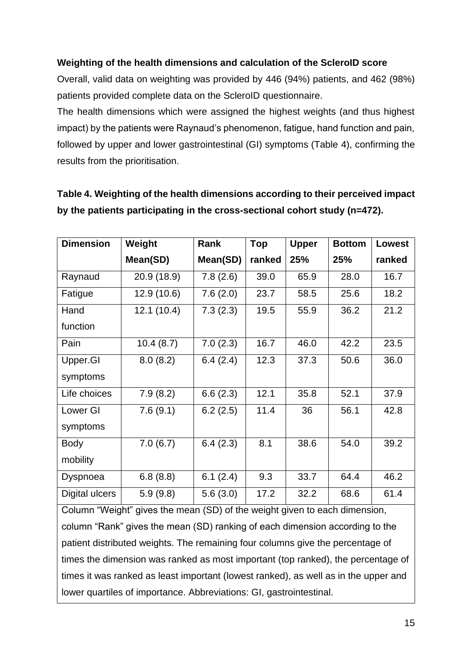### **Weighting of the health dimensions and calculation of the ScleroID score**

Overall, valid data on weighting was provided by 446 (94%) patients, and 462 (98%) patients provided complete data on the ScleroID questionnaire.

The health dimensions which were assigned the highest weights (and thus highest impact) by the patients were Raynaud's phenomenon, fatigue, hand function and pain, followed by upper and lower gastrointestinal (GI) symptoms (Table 4), confirming the results from the prioritisation.

| <b>Dimension</b>                                                                                                        | Weight      | Rank     | <b>Top</b> | <b>Upper</b> | <b>Bottom</b> | <b>Lowest</b> |  |  |
|-------------------------------------------------------------------------------------------------------------------------|-------------|----------|------------|--------------|---------------|---------------|--|--|
|                                                                                                                         | Mean(SD)    | Mean(SD) | ranked     | 25%          | 25%           | ranked        |  |  |
| Raynaud                                                                                                                 | 20.9 (18.9) | 7.8(2.6) | 39.0       | 65.9         | 28.0          | 16.7          |  |  |
| Fatigue                                                                                                                 | 12.9 (10.6) | 7.6(2.0) | 23.7       | 58.5         | 25.6          | 18.2          |  |  |
| Hand                                                                                                                    | 12.1(10.4)  | 7.3(2.3) | 19.5       | 55.9         | 36.2          | 21.2          |  |  |
| function                                                                                                                |             |          |            |              |               |               |  |  |
| Pain                                                                                                                    | 10.4(8.7)   | 7.0(2.3) | 16.7       | 46.0         | 42.2          | 23.5          |  |  |
| Upper.GI                                                                                                                | 8.0(8.2)    | 6.4(2.4) | 12.3       | 37.3         | 50.6          | 36.0          |  |  |
| symptoms                                                                                                                |             |          |            |              |               |               |  |  |
| Life choices                                                                                                            | 7.9(8.2)    | 6.6(2.3) | 12.1       | 35.8         | 52.1          | 37.9          |  |  |
| Lower GI                                                                                                                | 7.6(9.1)    | 6.2(2.5) | 11.4       | 36           | 56.1          | 42.8          |  |  |
| symptoms                                                                                                                |             |          |            |              |               |               |  |  |
| Body                                                                                                                    | 7.0(6.7)    | 6.4(2.3) | 8.1        | 38.6         | 54.0          | 39.2          |  |  |
| mobility                                                                                                                |             |          |            |              |               |               |  |  |
| Dyspnoea                                                                                                                | 6.8(8.8)    | 6.1(2.4) | 9.3        | 33.7         | 64.4          | 46.2          |  |  |
| Digital ulcers                                                                                                          | 5.9(9.8)    | 5.6(3.0) | 17.2       | 32.2         | 68.6          | 61.4          |  |  |
| $O = 1$ (0.8 decimal 42 entrepreneur)<br>$(0.5)$ $\pm 0.1$<br>المنافر المتناسب والمتعارف المتعارضات<br>المحافظ والمرابط |             |          |            |              |               |               |  |  |

# **Table 4. Weighting of the health dimensions according to their perceived impact by the patients participating in the cross-sectional cohort study (n=472).**

Column "Weight" gives the mean (SD) of the weight given to each dimension, column "Rank" gives the mean (SD) ranking of each dimension according to the patient distributed weights. The remaining four columns give the percentage of times the dimension was ranked as most important (top ranked), the percentage of times it was ranked as least important (lowest ranked), as well as in the upper and lower quartiles of importance. Abbreviations: GI, gastrointestinal.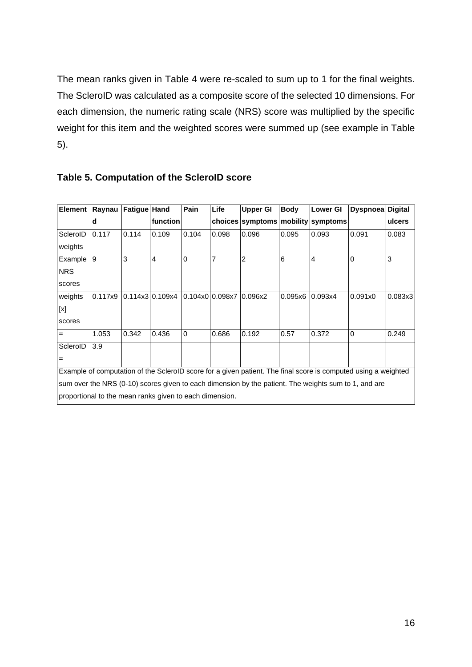The mean ranks given in Table 4 were re-scaled to sum up to 1 for the final weights. The ScleroID was calculated as a composite score of the selected 10 dimensions. For each dimension, the numeric rating scale (NRS) score was multiplied by the specific weight for this item and the weighted scores were summed up (see example in Table 5).

| <b>Element</b>                                                                                                 | Raynau  | Fatigue Hand |                 | Pain           | Life                    | <b>Upper GI</b>                    | <b>Body</b> | <b>Lower GI</b> | <b>Dyspnoea</b> | <b>Digital</b> |
|----------------------------------------------------------------------------------------------------------------|---------|--------------|-----------------|----------------|-------------------------|------------------------------------|-------------|-----------------|-----------------|----------------|
|                                                                                                                | d       |              | function        |                |                         | choices symptoms mobility symptoms |             |                 |                 | ulcers         |
| ScleroID                                                                                                       | 0.117   | 0.114        | 0.109           | 0.104          | 0.098                   | 0.096                              | 0.095       | 0.093           | 0.091           | 0.083          |
| weights                                                                                                        |         |              |                 |                |                         |                                    |             |                 |                 |                |
| Example                                                                                                        | 9       | 3            | 4               | $\Omega$       | 7                       | 2                                  | 6           | $\overline{4}$  | $\Omega$        | 3              |
| <b>NRS</b>                                                                                                     |         |              |                 |                |                         |                                    |             |                 |                 |                |
| scores                                                                                                         |         |              |                 |                |                         |                                    |             |                 |                 |                |
| weights                                                                                                        | 0.117x9 |              | 0.114x310.109x4 |                | 0.104x0 0.098x7 0.096x2 |                                    | 0.095x6     | 0.093x4         | 0.091x0         | 0.083x3        |
| $[{\mathsf{x}}]$                                                                                               |         |              |                 |                |                         |                                    |             |                 |                 |                |
| scores                                                                                                         |         |              |                 |                |                         |                                    |             |                 |                 |                |
| $\equiv$                                                                                                       | 1.053   | 0.342        | 0.436           | $\overline{0}$ | 0.686                   | 0.192                              | 0.57        | 0.372           | $\overline{0}$  | 0.249          |
| ScleroID                                                                                                       | 3.9     |              |                 |                |                         |                                    |             |                 |                 |                |
| $\equiv$                                                                                                       |         |              |                 |                |                         |                                    |             |                 |                 |                |
| Example of computation of the SclerolD score for a given patient. The final score is computed using a weighted |         |              |                 |                |                         |                                    |             |                 |                 |                |
| sum over the NRS (0-10) scores given to each dimension by the patient. The weights sum to 1, and are           |         |              |                 |                |                         |                                    |             |                 |                 |                |
| proportional to the mean ranks given to each dimension.                                                        |         |              |                 |                |                         |                                    |             |                 |                 |                |

### **Table 5. Computation of the ScleroID score**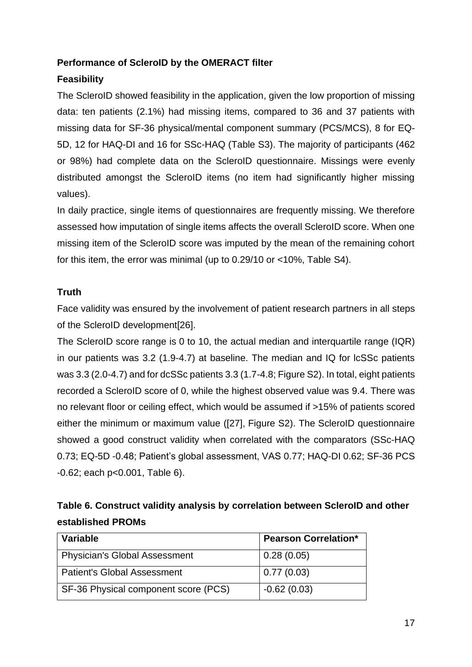### **Performance of ScleroID by the OMERACT filter**

# **Feasibility**

The ScleroID showed feasibility in the application, given the low proportion of missing data: ten patients (2.1%) had missing items, compared to 36 and 37 patients with missing data for SF-36 physical/mental component summary (PCS/MCS), 8 for EQ-5D, 12 for HAQ-DI and 16 for SSc-HAQ (Table S3). The majority of participants (462 or 98%) had complete data on the ScleroID questionnaire. Missings were evenly distributed amongst the ScleroID items (no item had significantly higher missing values).

In daily practice, single items of questionnaires are frequently missing. We therefore assessed how imputation of single items affects the overall ScleroID score. When one missing item of the ScleroID score was imputed by the mean of the remaining cohort for this item, the error was minimal (up to 0.29/10 or <10%, Table S4).

### **Truth**

Face validity was ensured by the involvement of patient research partners in all steps of the ScleroID development[26].

The ScleroID score range is 0 to 10, the actual median and interquartile range (IQR) in our patients was 3.2 (1.9-4.7) at baseline. The median and IQ for lcSSc patients was 3.3 (2.0-4.7) and for dcSSc patients 3.3 (1.7-4.8; Figure S2). In total, eight patients recorded a ScleroID score of 0, while the highest observed value was 9.4. There was no relevant floor or ceiling effect, which would be assumed if >15% of patients scored either the minimum or maximum value ([27], Figure S2). The ScleroID questionnaire showed a good construct validity when correlated with the comparators (SSc-HAQ 0.73; EQ-5D -0.48; Patient's global assessment, VAS 0.77; HAQ-DI 0.62; SF-36 PCS -0.62; each p<0.001, Table 6).

| Table 6. Construct validity analysis by correlation between SclerolD and other |
|--------------------------------------------------------------------------------|
| established PROMs                                                              |

| <b>Variable</b>                      | <b>Pearson Correlation*</b> |
|--------------------------------------|-----------------------------|
| <b>Physician's Global Assessment</b> | 0.28(0.05)                  |
| <b>Patient's Global Assessment</b>   | 0.77(0.03)                  |
| SF-36 Physical component score (PCS) | $-0.62(0.03)$               |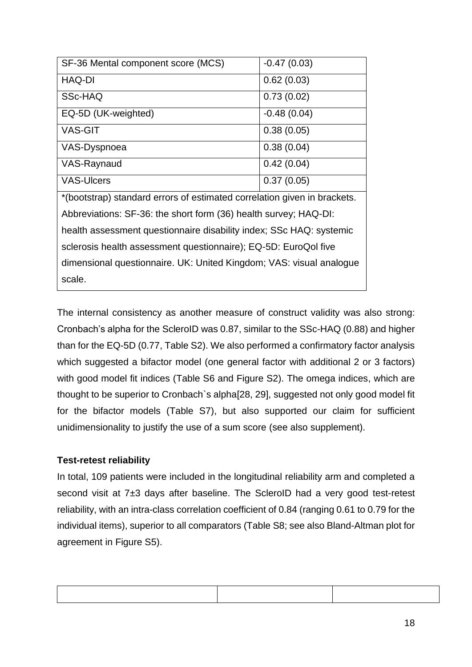| SF-36 Mental component score (MCS)                                       | $-0.47(0.03)$ |  |  |  |  |
|--------------------------------------------------------------------------|---------------|--|--|--|--|
| <b>HAQ-DI</b>                                                            | 0.62(0.03)    |  |  |  |  |
| SSc-HAQ                                                                  | 0.73(0.02)    |  |  |  |  |
| EQ-5D (UK-weighted)                                                      | $-0.48(0.04)$ |  |  |  |  |
| <b>VAS-GIT</b>                                                           | 0.38(0.05)    |  |  |  |  |
| VAS-Dyspnoea                                                             | 0.38(0.04)    |  |  |  |  |
| VAS-Raynaud                                                              | 0.42(0.04)    |  |  |  |  |
| <b>VAS-Ulcers</b>                                                        | 0.37(0.05)    |  |  |  |  |
| *(bootstrap) standard errors of estimated correlation given in brackets. |               |  |  |  |  |
| Abbreviations: SF-36: the short form (36) health survey; HAQ-DI:         |               |  |  |  |  |
| health assessment questionnaire disability index; SSc HAQ: systemic      |               |  |  |  |  |
| sclerosis health assessment questionnaire); EQ-5D: EuroQol five          |               |  |  |  |  |
| dimensional questionnaire. UK: United Kingdom; VAS: visual analogue      |               |  |  |  |  |
| scale.                                                                   |               |  |  |  |  |

The internal consistency as another measure of construct validity was also strong: Cronbach's alpha for the ScleroID was 0.87, similar to the SSc-HAQ (0.88) and higher than for the EQ-5D (0.77, Table S2). We also performed a confirmatory factor analysis which suggested a bifactor model (one general factor with additional 2 or 3 factors) with good model fit indices (Table S6 and Figure S2). The omega indices, which are thought to be superior to Cronbach`s alpha[28, 29], suggested not only good model fit for the bifactor models (Table S7), but also supported our claim for sufficient unidimensionality to justify the use of a sum score (see also supplement).

### **Test-retest reliability**

In total, 109 patients were included in the longitudinal reliability arm and completed a second visit at 7±3 days after baseline. The ScleroID had a very good test-retest reliability, with an intra-class correlation coefficient of 0.84 (ranging 0.61 to 0.79 for the individual items), superior to all comparators (Table S8; see also Bland-Altman plot for agreement in Figure S5).

| ,我们的人们就会在这里,我们的人们就会在这里,我们的人们就会在这里,我们的人们就会在这里,我们的人们就会在这里,我们的人们就会在这里,我们的人们就会在这里,我们 |  |
|----------------------------------------------------------------------------------|--|
|                                                                                  |  |
|                                                                                  |  |
|                                                                                  |  |
|                                                                                  |  |
|                                                                                  |  |
|                                                                                  |  |
|                                                                                  |  |
|                                                                                  |  |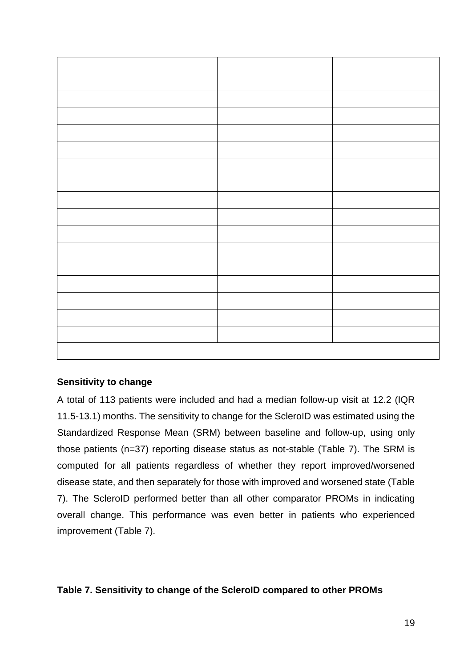### **Sensitivity to change**

A total of 113 patients were included and had a median follow-up visit at 12.2 (IQR 11.5-13.1) months. The sensitivity to change for the ScleroID was estimated using the Standardized Response Mean (SRM) between baseline and follow-up, using only those patients (n=37) reporting disease status as not-stable (Table 7). The SRM is computed for all patients regardless of whether they report improved/worsened disease state, and then separately for those with improved and worsened state (Table 7). The ScleroID performed better than all other comparator PROMs in indicating overall change. This performance was even better in patients who experienced improvement (Table 7).

### **Table 7. Sensitivity to change of the ScleroID compared to other PROMs**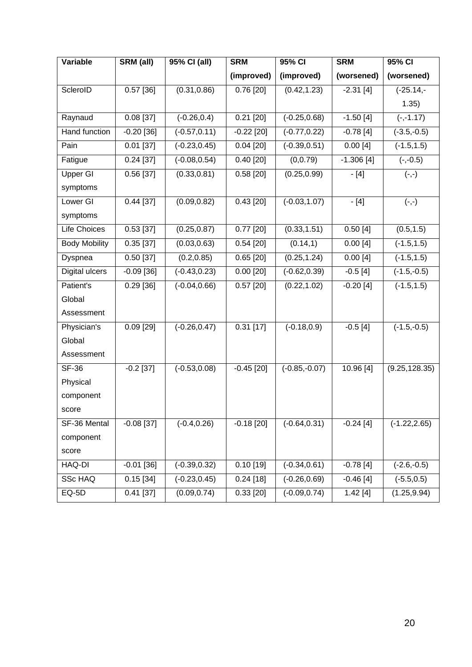| Variable             | SRM (all)    | 95% CI (all)    | <b>SRM</b>   | 95% CI          | <b>SRM</b>  | 95% CI          |
|----------------------|--------------|-----------------|--------------|-----------------|-------------|-----------------|
|                      |              |                 | (improved)   | (improved)      | (worsened)  | (worsened)      |
| ScleroID             | $0.57$ [36]  | (0.31, 0.86)    | 0.76[20]     | (0.42, 1.23)    | $-2.31[4]$  | $(-25.14,-$     |
|                      |              |                 |              |                 |             | 1.35)           |
| Raynaud              | $0.08$ [37]  | $(-0.26, 0.4)$  | $0.21$ [20]  | $(-0.25, 0.68)$ | $-1.50[4]$  | $(-,-1.17)$     |
| <b>Hand function</b> | $-0.20$ [36] | $(-0.57, 0.11)$ | $-0.22$ [20] | $(-0.77, 0.22)$ | $-0.78[4]$  | $(-3.5,-0.5)$   |
| Pain                 | $0.01$ [37]  | $(-0.23, 0.45)$ | $0.04$ [20]  | $(-0.39, 0.51)$ | 0.00[4]     | $(-1.5, 1.5)$   |
| Fatigue              | $0.24$ [37]  | $(-0.08, 0.54)$ | $0.40$ [20]  | (0, 0.79)       | $-1.306[4]$ | $(-,-0.5)$      |
| <b>Upper GI</b>      | $0.56$ [37]  | (0.33, 0.81)    | 0.58[20]     | (0.25, 0.99)    | $-[4]$      | $(-,-)$         |
| symptoms             |              |                 |              |                 |             |                 |
| Lower GI             | $0.44$ [37]  | (0.09, 0.82)    | $0.43$ [20]  | $(-0.03, 1.07)$ | $-[4]$      | $(-,-)$         |
| symptoms             |              |                 |              |                 |             |                 |
| <b>Life Choices</b>  | $0.53$ [37]  | (0.25, 0.87)    | $0.77$ [20]  | (0.33, 1.51)    | 0.50[4]     | (0.5, 1.5)      |
| <b>Body Mobility</b> | 0.35[37]     | (0.03, 0.63)    | 0.54[20]     | (0.14, 1)       | 0.00[4]     | $(-1.5, 1.5)$   |
| Dyspnea              | $0.50$ [37]  | (0.2, 0.85)     | $0.65$ [20]  | (0.25, 1.24)    | 0.00[4]     | $(-1.5, 1.5)$   |
| Digital ulcers       | $-0.09$ [36] | $(-0.43, 0.23)$ | $0.00$ [20]  | $(-0.62, 0.39)$ | $-0.5[4]$   | $(-1.5,-0.5)$   |
| Patient's            | $0.29$ [36]  | $(-0.04, 0.66)$ | $0.57$ [20]  | (0.22, 1.02)    | $-0.20$ [4] | $(-1.5, 1.5)$   |
| Global               |              |                 |              |                 |             |                 |
| Assessment           |              |                 |              |                 |             |                 |
| Physician's          | $0.09$ [29]  | $(-0.26, 0.47)$ | $0.31$ [17]  | $(-0.18, 0.9)$  | $-0.5[4]$   | $(-1.5,-0.5)$   |
| Global               |              |                 |              |                 |             |                 |
| Assessment           |              |                 |              |                 |             |                 |
| <b>SF-36</b>         | $-0.2$ [37]  | $(-0.53, 0.08)$ | $-0.45$ [20] | $(-0.85,-0.07)$ | 10.96 [4]   | (9.25, 128.35)  |
| Physical             |              |                 |              |                 |             |                 |
| component            |              |                 |              |                 |             |                 |
| score                |              |                 |              |                 |             |                 |
| SF-36 Mental         | $-0.08$ [37] | $(-0.4, 0.26)$  | $-0.18$ [20] | $(-0.64, 0.31)$ | $-0.24[4]$  | $(-1.22, 2.65)$ |
| component            |              |                 |              |                 |             |                 |
| score                |              |                 |              |                 |             |                 |
| HAQ-DI               | $-0.01$ [36] | $(-0.39, 0.32)$ | $0.10$ [19]  | $(-0.34, 0.61)$ | $-0.78[4]$  | $(-2.6,-0.5)$   |
| <b>SSc HAQ</b>       | 0.15[34]     | $(-0.23, 0.45)$ | $0.24$ [18]  | $(-0.26, 0.69)$ | $-0.46[4]$  | $(-5.5, 0.5)$   |
| $EQ-5D$              | $0.41$ [37]  | (0.09, 0.74)    | $0.33$ [20]  | $(-0.09, 0.74)$ | 1.42[4]     | (1.25, 9.94)    |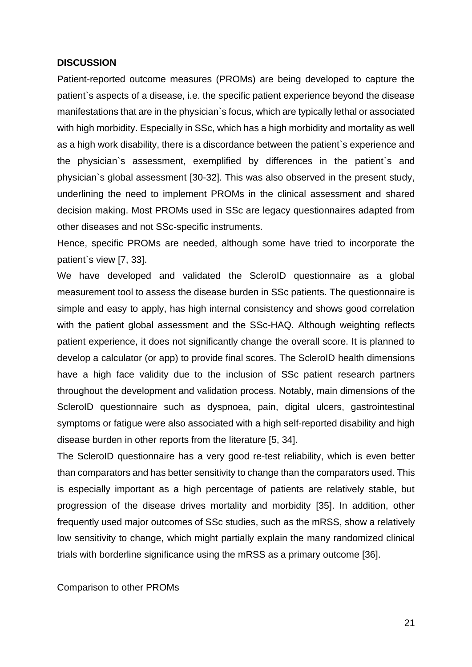#### **DISCUSSION**

Patient-reported outcome measures (PROMs) are being developed to capture the patient`s aspects of a disease, i.e. the specific patient experience beyond the disease manifestations that are in the physician`s focus, which are typically lethal or associated with high morbidity. Especially in SSc, which has a high morbidity and mortality as well as a high work disability, there is a discordance between the patient`s experience and the physician`s assessment, exemplified by differences in the patient`s and physician`s global assessment [30-32]. This was also observed in the present study, underlining the need to implement PROMs in the clinical assessment and shared decision making. Most PROMs used in SSc are legacy questionnaires adapted from other diseases and not SSc-specific instruments.

Hence, specific PROMs are needed, although some have tried to incorporate the patient`s view [7, 33].

We have developed and validated the ScleroID questionnaire as a global measurement tool to assess the disease burden in SSc patients. The questionnaire is simple and easy to apply, has high internal consistency and shows good correlation with the patient global assessment and the SSc-HAQ. Although weighting reflects patient experience, it does not significantly change the overall score. It is planned to develop a calculator (or app) to provide final scores. The ScleroID health dimensions have a high face validity due to the inclusion of SSc patient research partners throughout the development and validation process. Notably, main dimensions of the ScleroID questionnaire such as dyspnoea, pain, digital ulcers, gastrointestinal symptoms or fatigue were also associated with a high self-reported disability and high disease burden in other reports from the literature [5, 34].

The ScleroID questionnaire has a very good re-test reliability, which is even better than comparators and has better sensitivity to change than the comparators used. This is especially important as a high percentage of patients are relatively stable, but progression of the disease drives mortality and morbidity [35]. In addition, other frequently used major outcomes of SSc studies, such as the mRSS, show a relatively low sensitivity to change, which might partially explain the many randomized clinical trials with borderline significance using the mRSS as a primary outcome [36].

Comparison to other PROMs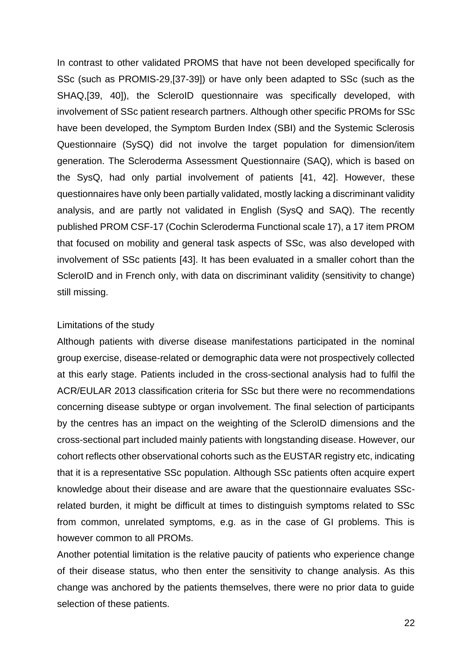In contrast to other validated PROMS that have not been developed specifically for SSc (such as PROMIS-29,[37-39]) or have only been adapted to SSc (such as the SHAQ,[39, 40]), the ScleroID questionnaire was specifically developed, with involvement of SSc patient research partners. Although other specific PROMs for SSc have been developed, the Symptom Burden Index (SBI) and the Systemic Sclerosis Questionnaire (SySQ) did not involve the target population for dimension/item generation. The Scleroderma Assessment Questionnaire (SAQ), which is based on the SysQ, had only partial involvement of patients [41, 42]. However, these questionnaires have only been partially validated, mostly lacking a discriminant validity analysis, and are partly not validated in English (SysQ and SAQ). The recently published PROM CSF-17 (Cochin Scleroderma Functional scale 17), a 17 item PROM that focused on mobility and general task aspects of SSc, was also developed with involvement of SSc patients [43]. It has been evaluated in a smaller cohort than the ScleroID and in French only, with data on discriminant validity (sensitivity to change) still missing.

#### Limitations of the study

Although patients with diverse disease manifestations participated in the nominal group exercise, disease-related or demographic data were not prospectively collected at this early stage. Patients included in the cross-sectional analysis had to fulfil the ACR/EULAR 2013 classification criteria for SSc but there were no recommendations concerning disease subtype or organ involvement. The final selection of participants by the centres has an impact on the weighting of the ScleroID dimensions and the cross-sectional part included mainly patients with longstanding disease. However, our cohort reflects other observational cohorts such as the EUSTAR registry etc, indicating that it is a representative SSc population. Although SSc patients often acquire expert knowledge about their disease and are aware that the questionnaire evaluates SScrelated burden, it might be difficult at times to distinguish symptoms related to SSc from common, unrelated symptoms, e.g. as in the case of GI problems. This is however common to all PROMs.

Another potential limitation is the relative paucity of patients who experience change of their disease status, who then enter the sensitivity to change analysis. As this change was anchored by the patients themselves, there were no prior data to guide selection of these patients.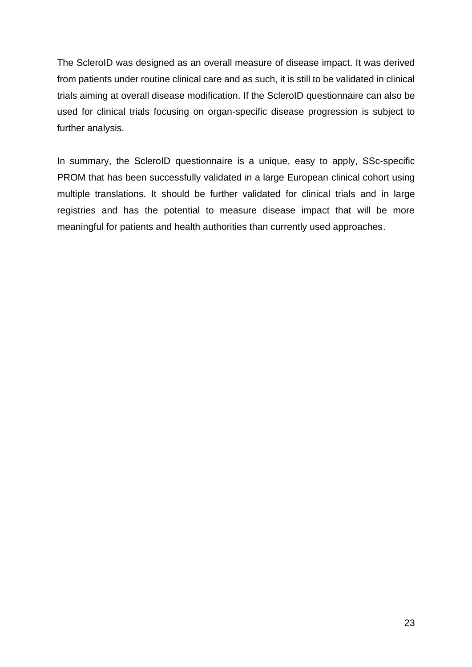The ScleroID was designed as an overall measure of disease impact. It was derived from patients under routine clinical care and as such, it is still to be validated in clinical trials aiming at overall disease modification. If the ScleroID questionnaire can also be used for clinical trials focusing on organ-specific disease progression is subject to further analysis.

In summary, the ScleroID questionnaire is a unique, easy to apply, SSc-specific PROM that has been successfully validated in a large European clinical cohort using multiple translations. It should be further validated for clinical trials and in large registries and has the potential to measure disease impact that will be more meaningful for patients and health authorities than currently used approaches.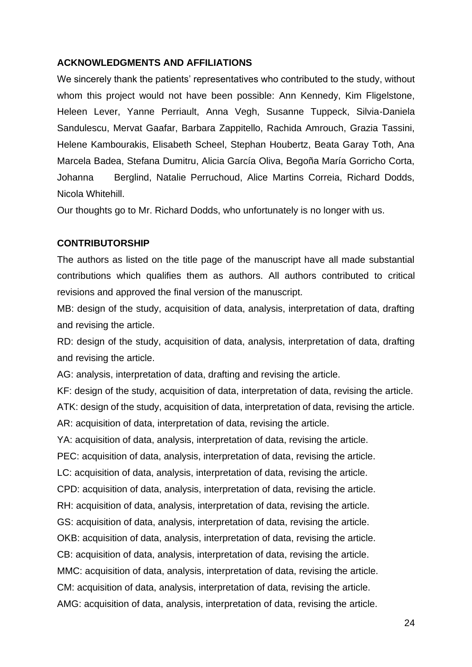#### **ACKNOWLEDGMENTS AND AFFILIATIONS**

We sincerely thank the patients' representatives who contributed to the study, without whom this project would not have been possible: Ann Kennedy, Kim Fligelstone, Heleen Lever, Yanne Perriault, Anna Vegh, Susanne Tuppeck, Silvia-Daniela Sandulescu, Mervat Gaafar, Barbara Zappitello, Rachida Amrouch, Grazia Tassini, Helene Kambourakis, Elisabeth Scheel, Stephan Houbertz, Beata Garay Toth, Ana Marcela Badea, Stefana Dumitru, Alicia García Oliva, Begoña María Gorricho Corta, Johanna Berglind, Natalie Perruchoud, Alice Martins Correia, Richard Dodds, Nicola Whitehill.

Our thoughts go to Mr. Richard Dodds, who unfortunately is no longer with us.

#### **CONTRIBUTORSHIP**

The authors as listed on the title page of the manuscript have all made substantial contributions which qualifies them as authors. All authors contributed to critical revisions and approved the final version of the manuscript.

MB: design of the study, acquisition of data, analysis, interpretation of data, drafting and revising the article.

RD: design of the study, acquisition of data, analysis, interpretation of data, drafting and revising the article.

AG: analysis, interpretation of data, drafting and revising the article.

KF: design of the study, acquisition of data, interpretation of data, revising the article.

ATK: design of the study, acquisition of data, interpretation of data, revising the article.

AR: acquisition of data, interpretation of data, revising the article.

YA: acquisition of data, analysis, interpretation of data, revising the article.

PEC: acquisition of data, analysis, interpretation of data, revising the article.

LC: acquisition of data, analysis, interpretation of data, revising the article.

CPD: acquisition of data, analysis, interpretation of data, revising the article.

RH: acquisition of data, analysis, interpretation of data, revising the article.

GS: acquisition of data, analysis, interpretation of data, revising the article.

OKB: acquisition of data, analysis, interpretation of data, revising the article.

CB: acquisition of data, analysis, interpretation of data, revising the article.

MMC: acquisition of data, analysis, interpretation of data, revising the article.

CM: acquisition of data, analysis, interpretation of data, revising the article.

AMG: acquisition of data, analysis, interpretation of data, revising the article.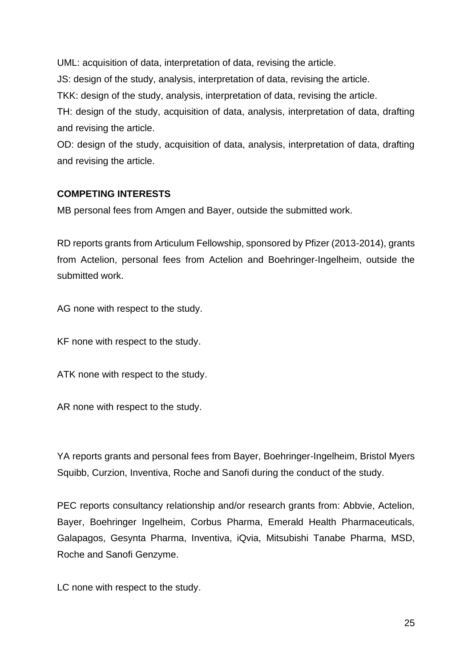UML: acquisition of data, interpretation of data, revising the article.

JS: design of the study, analysis, interpretation of data, revising the article.

TKK: design of the study, analysis, interpretation of data, revising the article.

TH: design of the study, acquisition of data, analysis, interpretation of data, drafting and revising the article.

OD: design of the study, acquisition of data, analysis, interpretation of data, drafting and revising the article.

### **COMPETING INTERESTS**

MB personal fees from Amgen and Bayer, outside the submitted work.

RD reports grants from Articulum Fellowship, sponsored by Pfizer (2013-2014), grants from Actelion, personal fees from Actelion and Boehringer-Ingelheim, outside the submitted work.

AG none with respect to the study.

KF none with respect to the study.

ATK none with respect to the study.

AR none with respect to the study.

YA reports grants and personal fees from Bayer, Boehringer-Ingelheim, Bristol Myers Squibb, Curzion, Inventiva, Roche and Sanofi during the conduct of the study.

PEC reports consultancy relationship and/or research grants from: Abbvie, Actelion, Bayer, Boehringer Ingelheim, Corbus Pharma, Emerald Health Pharmaceuticals, Galapagos, Gesynta Pharma, Inventiva, iQvia, Mitsubishi Tanabe Pharma, MSD, Roche and Sanofi Genzyme.

LC none with respect to the study.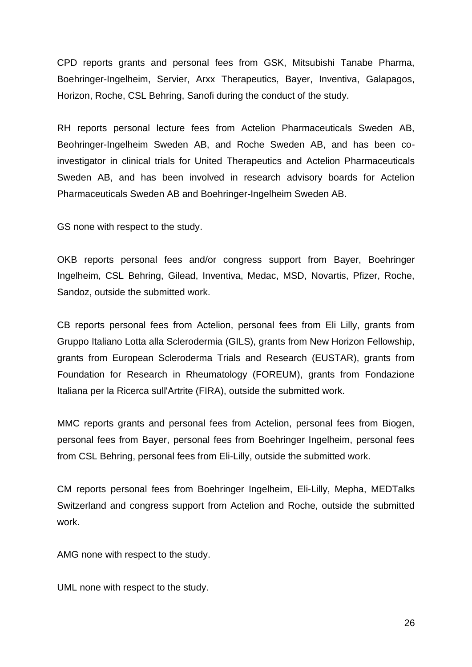CPD reports grants and personal fees from GSK, Mitsubishi Tanabe Pharma, Boehringer-Ingelheim, Servier, Arxx Therapeutics, Bayer, Inventiva, Galapagos, Horizon, Roche, CSL Behring, Sanofi during the conduct of the study.

RH reports personal lecture fees from Actelion Pharmaceuticals Sweden AB, Beohringer-Ingelheim Sweden AB, and Roche Sweden AB, and has been coinvestigator in clinical trials for United Therapeutics and Actelion Pharmaceuticals Sweden AB, and has been involved in research advisory boards for Actelion Pharmaceuticals Sweden AB and Boehringer-Ingelheim Sweden AB.

GS none with respect to the study.

OKB reports personal fees and/or congress support from Bayer, Boehringer Ingelheim, CSL Behring, Gilead, Inventiva, Medac, MSD, Novartis, Pfizer, Roche, Sandoz, outside the submitted work.

CB reports personal fees from Actelion, personal fees from Eli Lilly, grants from Gruppo Italiano Lotta alla Sclerodermia (GILS), grants from New Horizon Fellowship, grants from European Scleroderma Trials and Research (EUSTAR), grants from Foundation for Research in Rheumatology (FOREUM), grants from Fondazione Italiana per la Ricerca sull'Artrite (FIRA), outside the submitted work.

MMC reports grants and personal fees from Actelion, personal fees from Biogen, personal fees from Bayer, personal fees from Boehringer Ingelheim, personal fees from CSL Behring, personal fees from Eli-Lilly, outside the submitted work.

CM reports personal fees from Boehringer Ingelheim, Eli-Lilly, Mepha, MEDTalks Switzerland and congress support from Actelion and Roche, outside the submitted work.

AMG none with respect to the study.

UML none with respect to the study.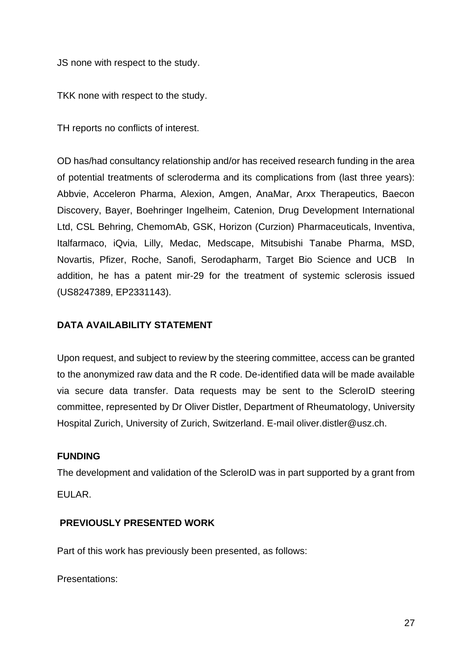JS none with respect to the study.

TKK none with respect to the study.

TH reports no conflicts of interest.

OD has/had consultancy relationship and/or has received research funding in the area of potential treatments of scleroderma and its complications from (last three years): Abbvie, Acceleron Pharma, Alexion, Amgen, AnaMar, Arxx Therapeutics, Baecon Discovery, Bayer, Boehringer Ingelheim, Catenion, Drug Development International Ltd, CSL Behring, ChemomAb, GSK, Horizon (Curzion) Pharmaceuticals, Inventiva, Italfarmaco, iQvia, Lilly, Medac, Medscape, Mitsubishi Tanabe Pharma, MSD, Novartis, Pfizer, Roche, Sanofi, Serodapharm, Target Bio Science and UCB In addition, he has a patent mir-29 for the treatment of systemic sclerosis issued (US8247389, EP2331143).

### **DATA AVAILABILITY STATEMENT**

Upon request, and subject to review by the steering committee, access can be granted to the anonymized raw data and the R code. De-identified data will be made available via secure data transfer. Data requests may be sent to the ScleroID steering committee, represented by Dr Oliver Distler, Department of Rheumatology, University Hospital Zurich, University of Zurich, Switzerland. E-mail oliver.distler@usz.ch.

#### **FUNDING**

The development and validation of the ScleroID was in part supported by a grant from EULAR.

### **PREVIOUSLY PRESENTED WORK**

Part of this work has previously been presented, as follows:

Presentations: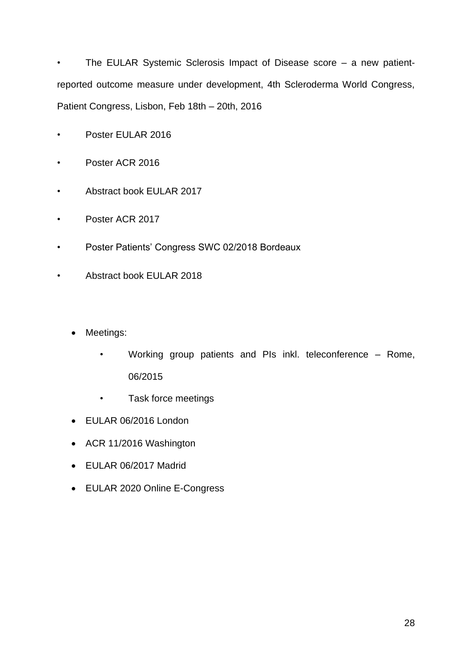• The EULAR Systemic Sclerosis Impact of Disease score – a new patientreported outcome measure under development, 4th Scleroderma World Congress, Patient Congress, Lisbon, Feb 18th – 20th, 2016

- Poster EULAR 2016
- Poster ACR 2016
- Abstract book EULAR 2017
- Poster ACR 2017
- Poster Patients' Congress SWC 02/2018 Bordeaux
- Abstract book EULAR 2018
	- Meetings:
		- Working group patients and PIs inkl. teleconference Rome, 06/2015
		- Task force meetings
	- EULAR 06/2016 London
	- ACR 11/2016 Washington
	- EULAR 06/2017 Madrid
	- EULAR 2020 Online E-Congress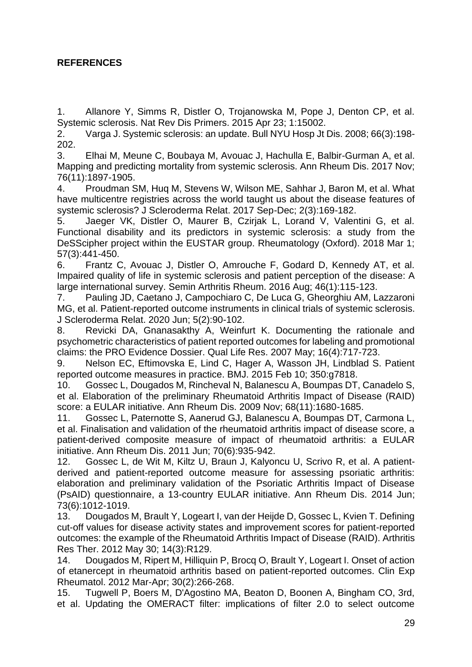## **REFERENCES**

1. Allanore Y, Simms R, Distler O, Trojanowska M, Pope J, Denton CP, et al. Systemic sclerosis. Nat Rev Dis Primers. 2015 Apr 23; 1:15002.

2. Varga J. Systemic sclerosis: an update. Bull NYU Hosp Jt Dis. 2008; 66(3):198- 202.

3. Elhai M, Meune C, Boubaya M, Avouac J, Hachulla E, Balbir-Gurman A, et al. Mapping and predicting mortality from systemic sclerosis. Ann Rheum Dis. 2017 Nov; 76(11):1897-1905.

4. Proudman SM, Huq M, Stevens W, Wilson ME, Sahhar J, Baron M, et al. What have multicentre registries across the world taught us about the disease features of systemic sclerosis? J Scleroderma Relat. 2017 Sep-Dec; 2(3):169-182.

5. Jaeger VK, Distler O, Maurer B, Czirjak L, Lorand V, Valentini G, et al. Functional disability and its predictors in systemic sclerosis: a study from the DeSScipher project within the EUSTAR group. Rheumatology (Oxford). 2018 Mar 1; 57(3):441-450.

6. Frantz C, Avouac J, Distler O, Amrouche F, Godard D, Kennedy AT, et al. Impaired quality of life in systemic sclerosis and patient perception of the disease: A large international survey. Semin Arthritis Rheum. 2016 Aug; 46(1):115-123.

7. Pauling JD, Caetano J, Campochiaro C, De Luca G, Gheorghiu AM, Lazzaroni MG, et al. Patient-reported outcome instruments in clinical trials of systemic sclerosis. J Scleroderma Relat. 2020 Jun; 5(2):90-102.

8. Revicki DA, Gnanasakthy A, Weinfurt K. Documenting the rationale and psychometric characteristics of patient reported outcomes for labeling and promotional claims: the PRO Evidence Dossier. Qual Life Res. 2007 May; 16(4):717-723.

9. Nelson EC, Eftimovska E, Lind C, Hager A, Wasson JH, Lindblad S. Patient reported outcome measures in practice. BMJ. 2015 Feb 10; 350:g7818.

10. Gossec L, Dougados M, Rincheval N, Balanescu A, Boumpas DT, Canadelo S, et al. Elaboration of the preliminary Rheumatoid Arthritis Impact of Disease (RAID) score: a EULAR initiative. Ann Rheum Dis. 2009 Nov; 68(11):1680-1685.

11. Gossec L, Paternotte S, Aanerud GJ, Balanescu A, Boumpas DT, Carmona L, et al. Finalisation and validation of the rheumatoid arthritis impact of disease score, a patient-derived composite measure of impact of rheumatoid arthritis: a EULAR initiative. Ann Rheum Dis. 2011 Jun; 70(6):935-942.

12. Gossec L, de Wit M, Kiltz U, Braun J, Kalyoncu U, Scrivo R, et al. A patientderived and patient-reported outcome measure for assessing psoriatic arthritis: elaboration and preliminary validation of the Psoriatic Arthritis Impact of Disease (PsAID) questionnaire, a 13-country EULAR initiative. Ann Rheum Dis. 2014 Jun; 73(6):1012-1019.

13. Dougados M, Brault Y, Logeart I, van der Heijde D, Gossec L, Kvien T. Defining cut-off values for disease activity states and improvement scores for patient-reported outcomes: the example of the Rheumatoid Arthritis Impact of Disease (RAID). Arthritis Res Ther. 2012 May 30; 14(3):R129.

14. Dougados M, Ripert M, Hilliquin P, Brocq O, Brault Y, Logeart I. Onset of action of etanercept in rheumatoid arthritis based on patient-reported outcomes. Clin Exp Rheumatol. 2012 Mar-Apr; 30(2):266-268.

15. Tugwell P, Boers M, D'Agostino MA, Beaton D, Boonen A, Bingham CO, 3rd, et al. Updating the OMERACT filter: implications of filter 2.0 to select outcome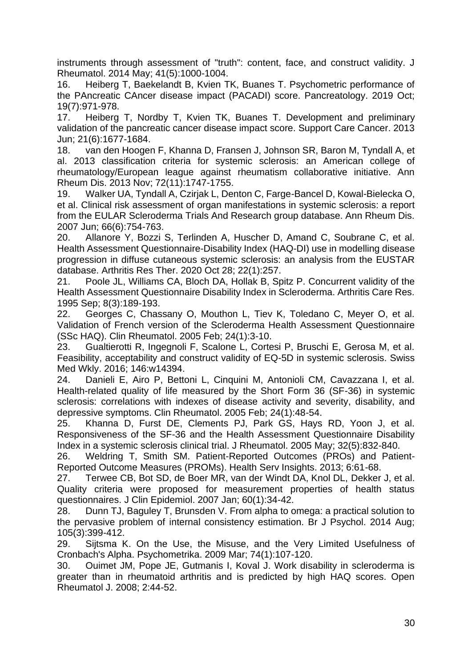instruments through assessment of "truth": content, face, and construct validity. J Rheumatol. 2014 May; 41(5):1000-1004.

16. Heiberg T, Baekelandt B, Kvien TK, Buanes T. Psychometric performance of the PAncreatic CAncer disease impact (PACADI) score. Pancreatology. 2019 Oct; 19(7):971-978.

17. Heiberg T, Nordby T, Kvien TK, Buanes T. Development and preliminary validation of the pancreatic cancer disease impact score. Support Care Cancer. 2013 Jun; 21(6):1677-1684.

18. van den Hoogen F, Khanna D, Fransen J, Johnson SR, Baron M, Tyndall A, et al. 2013 classification criteria for systemic sclerosis: an American college of rheumatology/European league against rheumatism collaborative initiative. Ann Rheum Dis. 2013 Nov; 72(11):1747-1755.

19. Walker UA, Tyndall A, Czirjak L, Denton C, Farge-Bancel D, Kowal-Bielecka O, et al. Clinical risk assessment of organ manifestations in systemic sclerosis: a report from the EULAR Scleroderma Trials And Research group database. Ann Rheum Dis. 2007 Jun; 66(6):754-763.

20. Allanore Y, Bozzi S, Terlinden A, Huscher D, Amand C, Soubrane C, et al. Health Assessment Questionnaire-Disability Index (HAQ-DI) use in modelling disease progression in diffuse cutaneous systemic sclerosis: an analysis from the EUSTAR database. Arthritis Res Ther. 2020 Oct 28; 22(1):257.

21. Poole JL, Williams CA, Bloch DA, Hollak B, Spitz P. Concurrent validity of the Health Assessment Questionnaire Disability Index in Scleroderma. Arthritis Care Res. 1995 Sep; 8(3):189-193.

22. Georges C, Chassany O, Mouthon L, Tiev K, Toledano C, Meyer O, et al. Validation of French version of the Scleroderma Health Assessment Questionnaire (SSc HAQ). Clin Rheumatol. 2005 Feb; 24(1):3-10.

23. Gualtierotti R, Ingegnoli F, Scalone L, Cortesi P, Bruschi E, Gerosa M, et al. Feasibility, acceptability and construct validity of EQ-5D in systemic sclerosis. Swiss Med Wkly. 2016; 146:w14394.

24. Danieli E, Airo P, Bettoni L, Cinquini M, Antonioli CM, Cavazzana I, et al. Health-related quality of life measured by the Short Form 36 (SF-36) in systemic sclerosis: correlations with indexes of disease activity and severity, disability, and depressive symptoms. Clin Rheumatol. 2005 Feb; 24(1):48-54.

25. Khanna D, Furst DE, Clements PJ, Park GS, Hays RD, Yoon J, et al. Responsiveness of the SF-36 and the Health Assessment Questionnaire Disability Index in a systemic sclerosis clinical trial. J Rheumatol. 2005 May; 32(5):832-840.

26. Weldring T, Smith SM. Patient-Reported Outcomes (PROs) and Patient-Reported Outcome Measures (PROMs). Health Serv Insights. 2013; 6:61-68.

27. Terwee CB, Bot SD, de Boer MR, van der Windt DA, Knol DL, Dekker J, et al. Quality criteria were proposed for measurement properties of health status questionnaires. J Clin Epidemiol. 2007 Jan; 60(1):34-42.

28. Dunn TJ, Baguley T, Brunsden V. From alpha to omega: a practical solution to the pervasive problem of internal consistency estimation. Br J Psychol. 2014 Aug; 105(3):399-412.

29. Sijtsma K. On the Use, the Misuse, and the Very Limited Usefulness of Cronbach's Alpha. Psychometrika. 2009 Mar; 74(1):107-120.

30. Ouimet JM, Pope JE, Gutmanis I, Koval J. Work disability in scleroderma is greater than in rheumatoid arthritis and is predicted by high HAQ scores. Open Rheumatol J. 2008; 2:44-52.